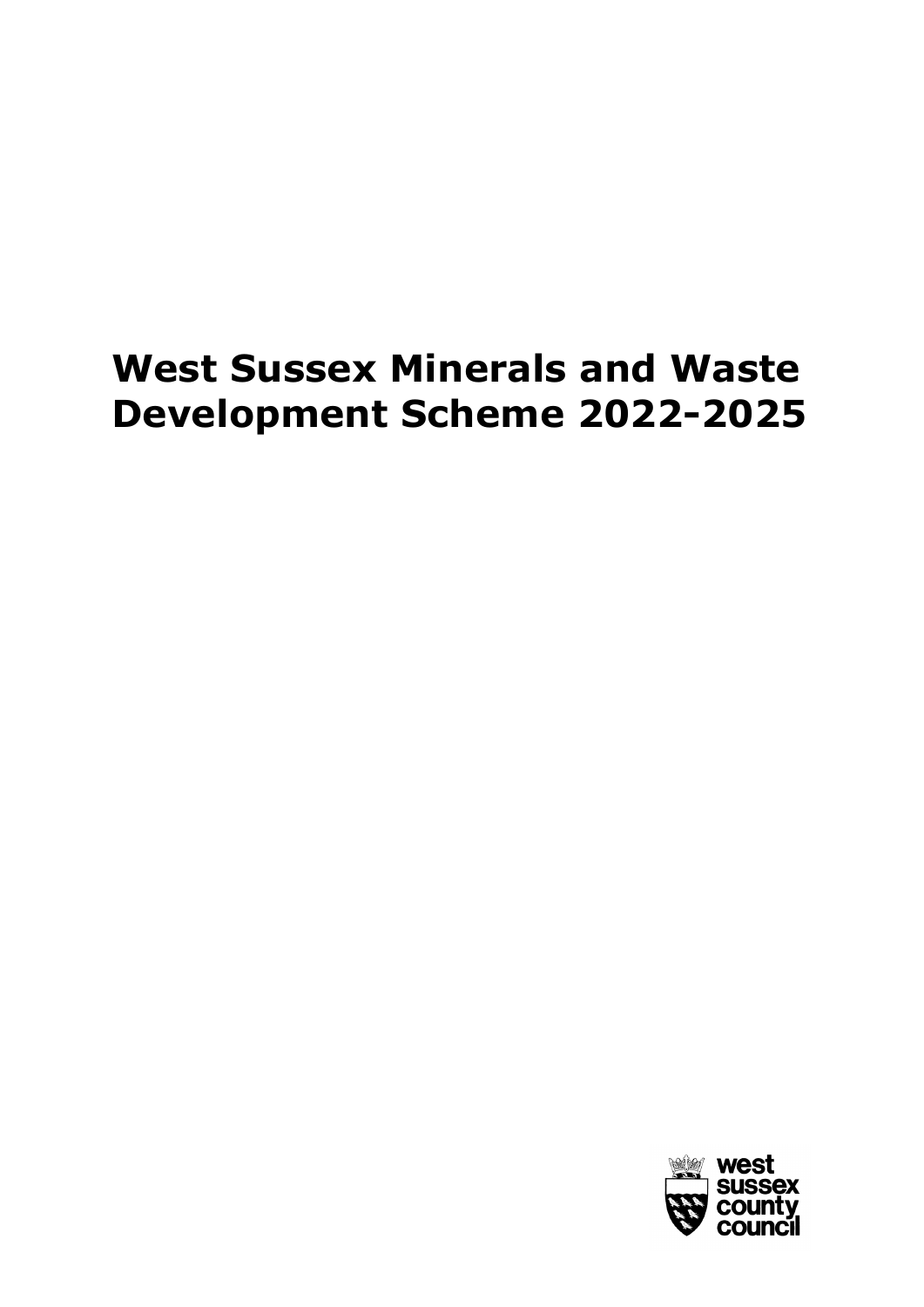# **West Sussex Minerals and Waste Development Scheme 2022-2025**

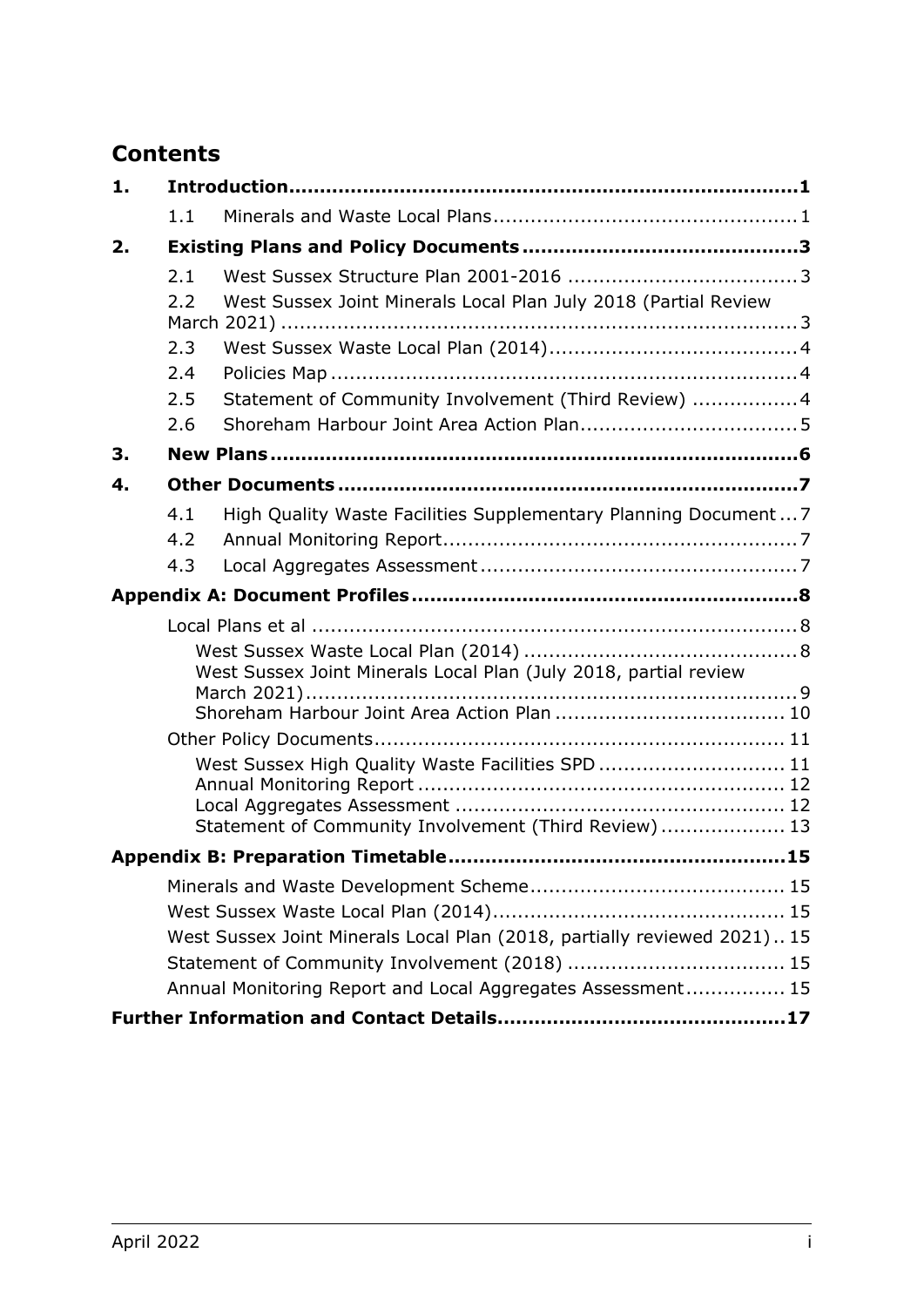# **Contents**

| 1. |     |                                                                          |  |
|----|-----|--------------------------------------------------------------------------|--|
|    | 1.1 |                                                                          |  |
| 2. |     |                                                                          |  |
|    | 2.1 |                                                                          |  |
|    | 2.2 | West Sussex Joint Minerals Local Plan July 2018 (Partial Review          |  |
|    |     |                                                                          |  |
|    | 2.3 |                                                                          |  |
|    | 2.4 |                                                                          |  |
|    | 2.5 | Statement of Community Involvement (Third Review)  4                     |  |
|    | 2.6 |                                                                          |  |
| 3. |     |                                                                          |  |
| 4. |     |                                                                          |  |
|    | 4.1 | High Quality Waste Facilities Supplementary Planning Document 7          |  |
|    | 4.2 |                                                                          |  |
|    | 4.3 |                                                                          |  |
|    |     |                                                                          |  |
|    |     |                                                                          |  |
|    |     |                                                                          |  |
|    |     | West Sussex Joint Minerals Local Plan (July 2018, partial review         |  |
|    |     |                                                                          |  |
|    |     |                                                                          |  |
|    |     | West Sussex High Quality Waste Facilities SPD  11                        |  |
|    |     |                                                                          |  |
|    |     | Statement of Community Involvement (Third Review)  13                    |  |
|    |     |                                                                          |  |
|    |     |                                                                          |  |
|    |     |                                                                          |  |
|    |     | West Sussex Joint Minerals Local Plan (2018, partially reviewed 2021) 15 |  |
|    |     | Statement of Community Involvement (2018)  15                            |  |
|    |     | Annual Monitoring Report and Local Aggregates Assessment 15              |  |
|    |     |                                                                          |  |
|    |     |                                                                          |  |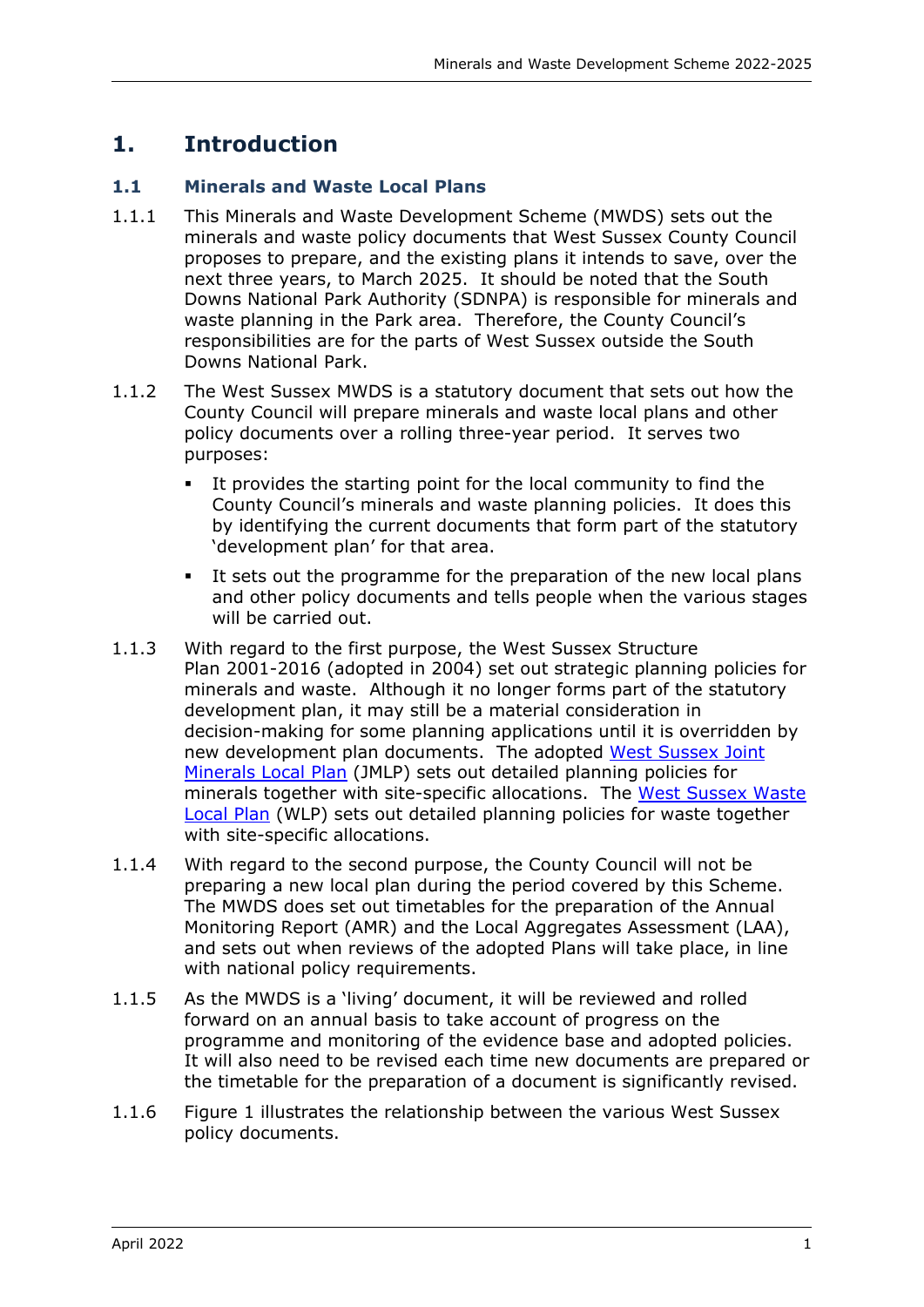# <span id="page-4-0"></span>**1. Introduction**

# <span id="page-4-1"></span>**1.1 Minerals and Waste Local Plans**

- 1.1.1 This Minerals and Waste Development Scheme (MWDS) sets out the minerals and waste policy documents that West Sussex County Council proposes to prepare, and the existing plans it intends to save, over the next three years, to March 2025. It should be noted that the South Downs National Park Authority (SDNPA) is responsible for minerals and waste planning in the Park area. Therefore, the County Council's responsibilities are for the parts of West Sussex outside the South Downs National Park.
- 1.1.2 The West Sussex MWDS is a statutory document that sets out how the County Council will prepare minerals and waste local plans and other policy documents over a rolling three-year period. It serves two purposes:
	- It provides the starting point for the local community to find the County Council's minerals and waste planning policies. It does this by identifying the current documents that form part of the statutory 'development plan' for that area.
	- It sets out the programme for the preparation of the new local plans and other policy documents and tells people when the various stages will be carried out.
- 1.1.3 With regard to the first purpose, the West Sussex Structure Plan 2001-2016 (adopted in 2004) set out strategic planning policies for minerals and waste. Although it no longer forms part of the statutory development plan, it may still be a material consideration in decision-making for some planning applications until it is overridden by new development plan documents. The adopted [West Sussex Joint](https://www.westsussex.gov.uk/mlp)  [Minerals Local Plan](https://www.westsussex.gov.uk/mlp) (JMLP) sets out detailed planning policies for minerals together with site-specific allocations. The West Sussex Waste [Local Plan](https://www.westsussex.gov.uk/wlp) (WLP) sets out detailed planning policies for waste together with site-specific allocations.
- 1.1.4 With regard to the second purpose, the County Council will not be preparing a new local plan during the period covered by this Scheme. The MWDS does set out timetables for the preparation of the Annual Monitoring Report (AMR) and the Local Aggregates Assessment (LAA), and sets out when reviews of the adopted Plans will take place, in line with national policy requirements.
- 1.1.5 As the MWDS is a 'living' document, it will be reviewed and rolled forward on an annual basis to take account of progress on the programme and monitoring of the evidence base and adopted policies. It will also need to be revised each time new documents are prepared or the timetable for the preparation of a document is significantly revised.
- 1.1.6 [Figure 1](#page-5-0) illustrates the relationship between the various West Sussex policy documents.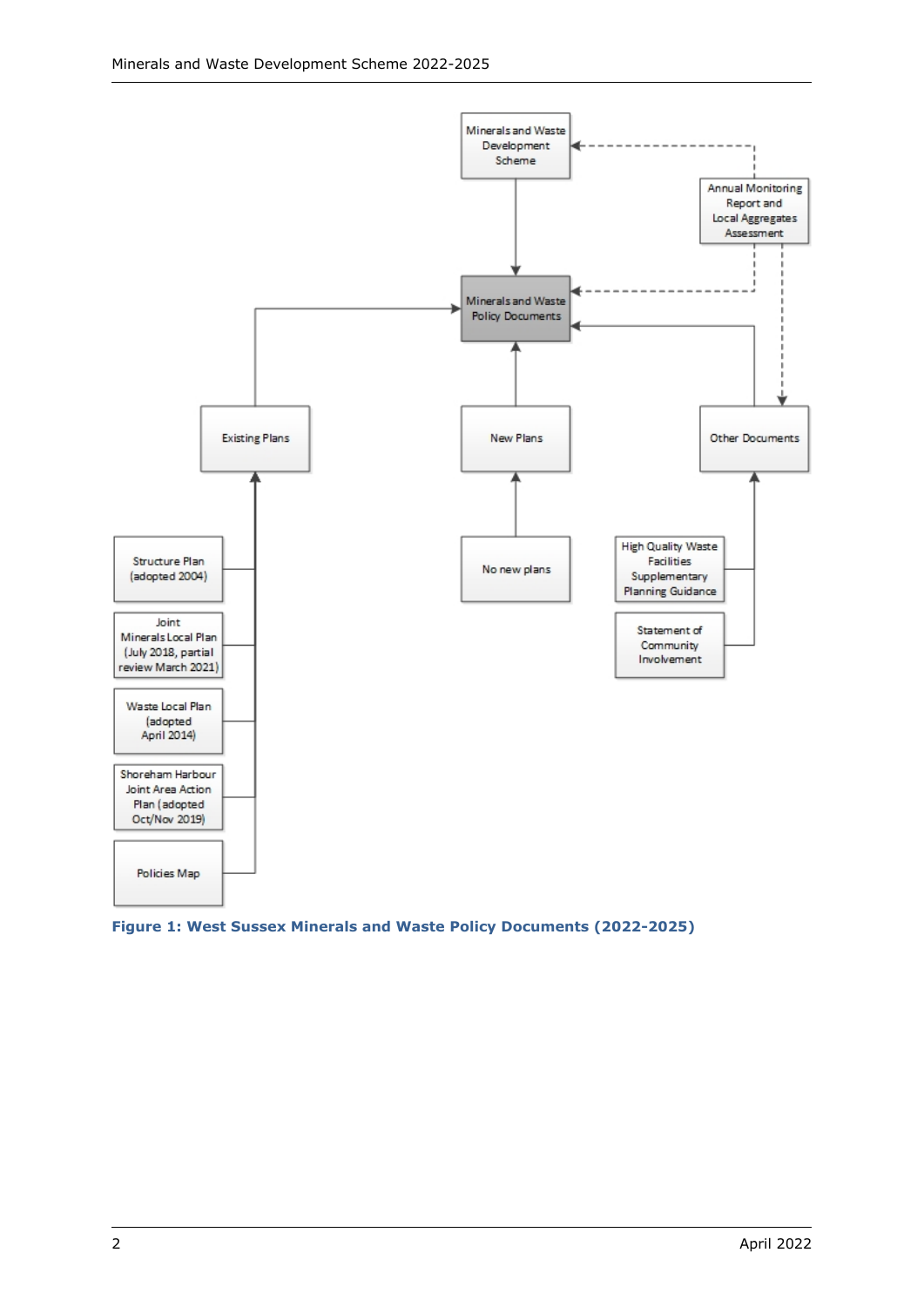



<span id="page-5-0"></span>**Figure 1: West Sussex Minerals and Waste Policy Documents (2022-2025)**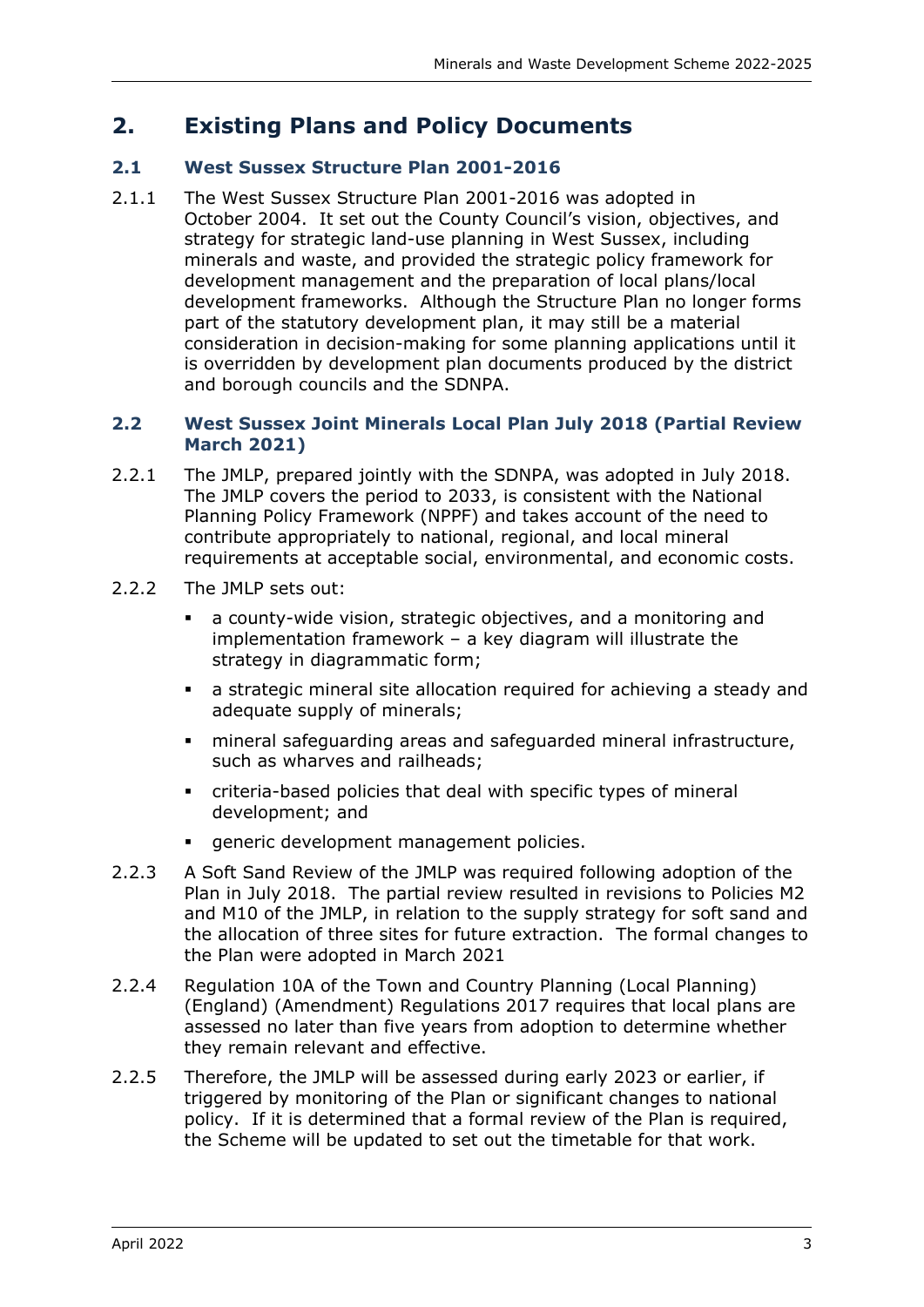# <span id="page-6-0"></span>**2. Existing Plans and Policy Documents**

# <span id="page-6-1"></span>**2.1 West Sussex Structure Plan 2001-2016**

2.1.1 The West Sussex Structure Plan 2001-2016 was adopted in October 2004. It set out the County Council's vision, objectives, and strategy for strategic land-use planning in West Sussex, including minerals and waste, and provided the strategic policy framework for development management and the preparation of local plans/local development frameworks. Although the Structure Plan no longer forms part of the statutory development plan, it may still be a material consideration in decision-making for some planning applications until it is overridden by development plan documents produced by the district and borough councils and the SDNPA.

#### <span id="page-6-2"></span>**2.2 West Sussex Joint Minerals Local Plan July 2018 (Partial Review March 2021)**

- 2.2.1 The JMLP, prepared jointly with the SDNPA, was adopted in July 2018. The JMLP covers the period to 2033, is consistent with the National Planning Policy Framework (NPPF) and takes account of the need to contribute appropriately to national, regional, and local mineral requirements at acceptable social, environmental, and economic costs.
- 2.2.2 The JMLP sets out:
	- a county-wide vision, strategic objectives, and a monitoring and implementation framework – a key diagram will illustrate the strategy in diagrammatic form;
	- a strategic mineral site allocation required for achieving a steady and adequate supply of minerals;
	- mineral safeguarding areas and safeguarded mineral infrastructure, such as wharves and railheads;
	- criteria-based policies that deal with specific types of mineral development; and
	- generic development management policies.
- 2.2.3 A Soft Sand Review of the JMLP was required following adoption of the Plan in July 2018. The partial review resulted in revisions to Policies M2 and M10 of the JMLP, in relation to the supply strategy for soft sand and the allocation of three sites for future extraction. The formal changes to the Plan were adopted in March 2021
- 2.2.4 Regulation 10A of the Town and Country Planning (Local Planning) (England) (Amendment) Regulations 2017 requires that local plans are assessed no later than five years from adoption to determine whether they remain relevant and effective.
- 2.2.5 Therefore, the JMLP will be assessed during early 2023 or earlier, if triggered by monitoring of the Plan or significant changes to national policy. If it is determined that a formal review of the Plan is required, the Scheme will be updated to set out the timetable for that work.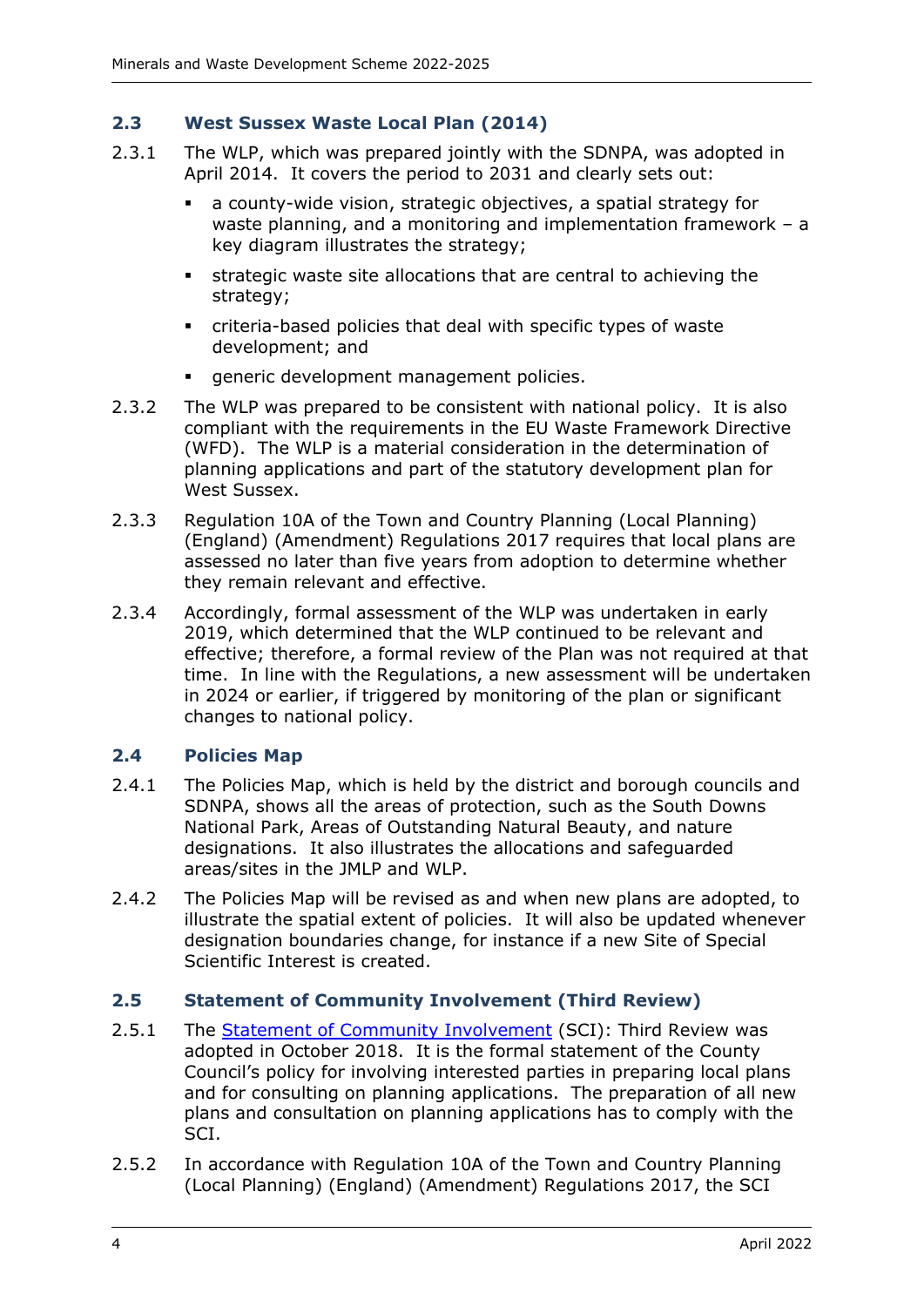# <span id="page-7-0"></span>**2.3 West Sussex Waste Local Plan (2014)**

- 2.3.1 The WLP, which was prepared jointly with the SDNPA, was adopted in April 2014. It covers the period to 2031 and clearly sets out:
	- a county-wide vision, strategic objectives, a spatial strategy for waste planning, and a monitoring and implementation framework – a key diagram illustrates the strategy;
	- strategic waste site allocations that are central to achieving the strategy;
	- criteria-based policies that deal with specific types of waste development; and
	- generic development management policies.
- 2.3.2 The WLP was prepared to be consistent with national policy. It is also compliant with the requirements in the EU Waste Framework Directive (WFD). The WLP is a material consideration in the determination of planning applications and part of the statutory development plan for West Sussex.
- 2.3.3 Regulation 10A of the Town and Country Planning (Local Planning) (England) (Amendment) Regulations 2017 requires that local plans are assessed no later than five years from adoption to determine whether they remain relevant and effective.
- 2.3.4 Accordingly, formal assessment of the WLP was undertaken in early 2019, which determined that the WLP continued to be relevant and effective; therefore, a formal review of the Plan was not required at that time. In line with the Regulations, a new assessment will be undertaken in 2024 or earlier, if triggered by monitoring of the plan or significant changes to national policy.

#### <span id="page-7-1"></span>**2.4 Policies Map**

- 2.4.1 The Policies Map, which is held by the district and borough councils and SDNPA, shows all the areas of protection, such as the South Downs National Park, Areas of Outstanding Natural Beauty, and nature designations. It also illustrates the allocations and safeguarded areas/sites in the JMLP and WLP.
- 2.4.2 The Policies Map will be revised as and when new plans are adopted, to illustrate the spatial extent of policies. It will also be updated whenever designation boundaries change, for instance if a new Site of Special Scientific Interest is created.

#### <span id="page-7-2"></span>**2.5 Statement of Community Involvement (Third Review)**

- 2.5.1 The Statement of [Community Involvement](https://www.westsussex.gov.uk/mwdf/sci) (SCI): Third Review was adopted in October 2018. It is the formal statement of the County Council's policy for involving interested parties in preparing local plans and for consulting on planning applications. The preparation of all new plans and consultation on planning applications has to comply with the SCI.
- 2.5.2 In accordance with Regulation 10A of the Town and Country Planning (Local Planning) (England) (Amendment) Regulations 2017, the SCI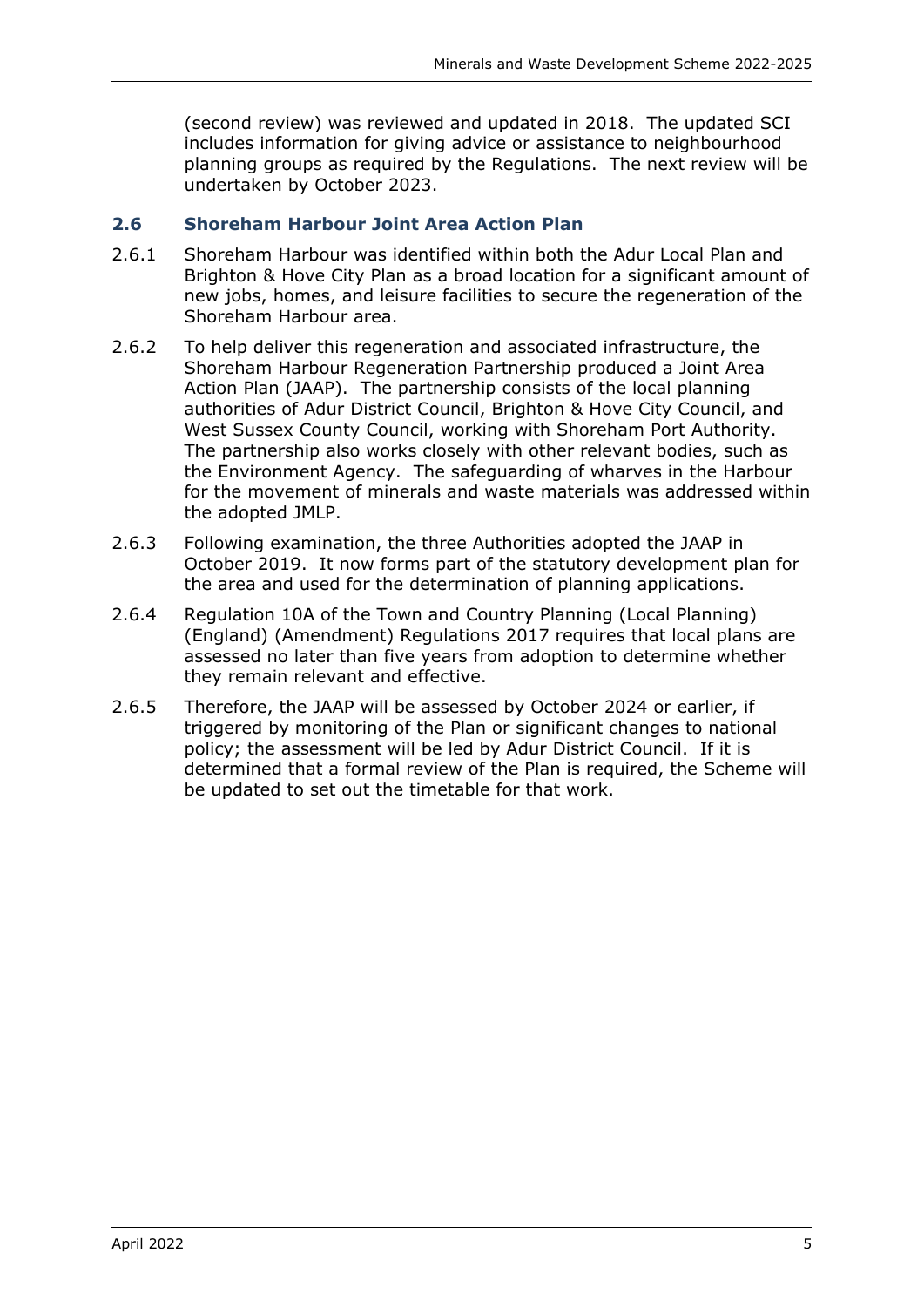(second review) was reviewed and updated in 2018. The updated SCI includes information for giving advice or assistance to neighbourhood planning groups as required by the Regulations. The next review will be undertaken by October 2023.

#### <span id="page-8-0"></span>**2.6 Shoreham Harbour Joint Area Action Plan**

- 2.6.1 Shoreham Harbour was identified within both the Adur Local Plan and Brighton & Hove City Plan as a broad location for a significant amount of new jobs, homes, and leisure facilities to secure the regeneration of the Shoreham Harbour area.
- 2.6.2 To help deliver this regeneration and associated infrastructure, the Shoreham Harbour Regeneration Partnership produced a Joint Area Action Plan (JAAP). The partnership consists of the local planning authorities of Adur District Council, Brighton & Hove City Council, and West Sussex County Council, working with Shoreham Port Authority. The partnership also works closely with other relevant bodies, such as the Environment Agency. The safeguarding of wharves in the Harbour for the movement of minerals and waste materials was addressed within the adopted JMLP.
- 2.6.3 Following examination, the three Authorities adopted the JAAP in October 2019. It now forms part of the statutory development plan for the area and used for the determination of planning applications.
- 2.6.4 Regulation 10A of the Town and Country Planning (Local Planning) (England) (Amendment) Regulations 2017 requires that local plans are assessed no later than five years from adoption to determine whether they remain relevant and effective.
- 2.6.5 Therefore, the JAAP will be assessed by October 2024 or earlier, if triggered by monitoring of the Plan or significant changes to national policy; the assessment will be led by Adur District Council. If it is determined that a formal review of the Plan is required, the Scheme will be updated to set out the timetable for that work.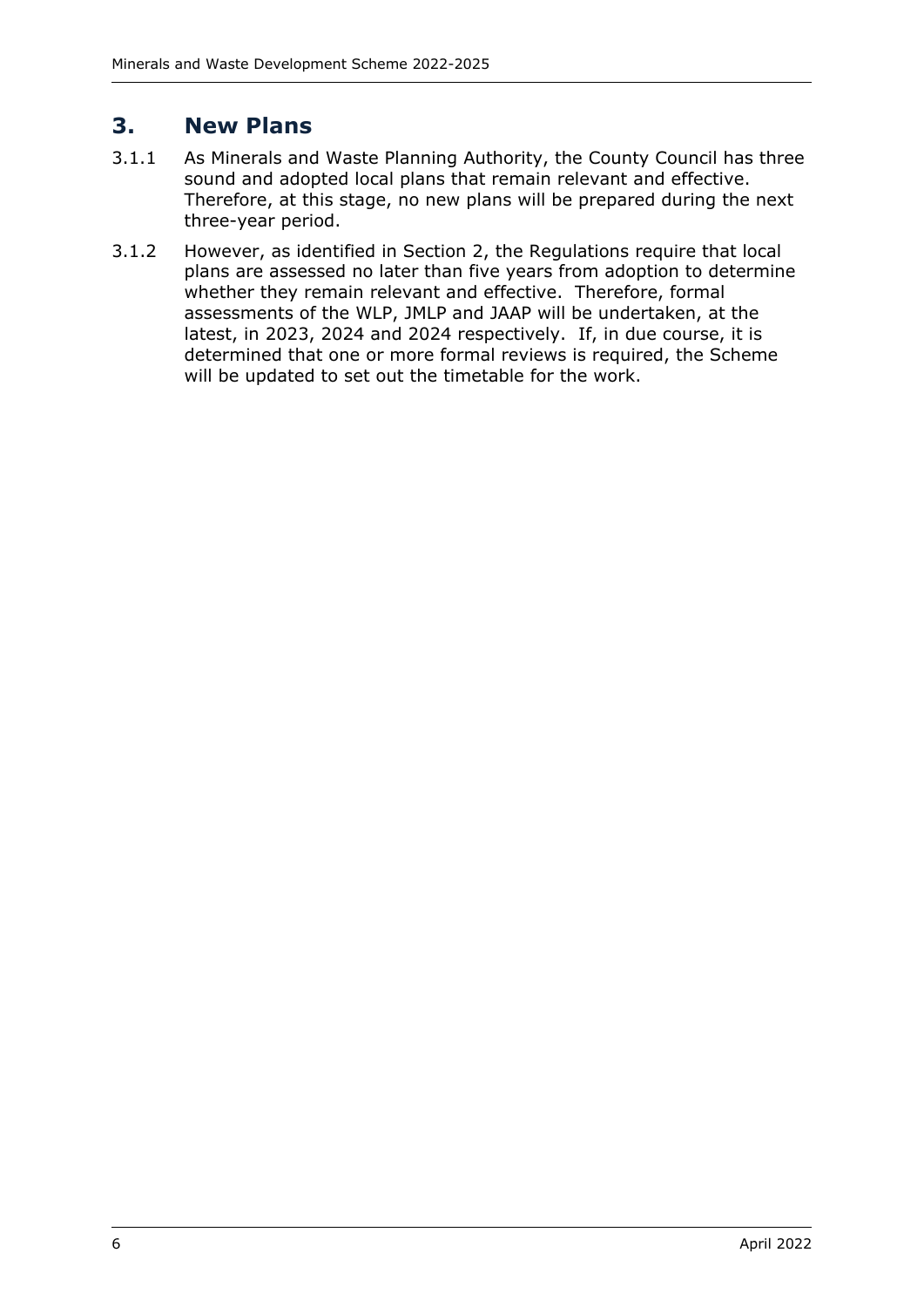# <span id="page-9-0"></span>**3. New Plans**

- 3.1.1 As Minerals and Waste Planning Authority, the County Council has three sound and adopted local plans that remain relevant and effective. Therefore, at this stage, no new plans will be prepared during the next three-year period.
- 3.1.2 However, as identified in Section 2, the Regulations require that local plans are assessed no later than five years from adoption to determine whether they remain relevant and effective. Therefore, formal assessments of the WLP, JMLP and JAAP will be undertaken, at the latest, in 2023, 2024 and 2024 respectively. If, in due course, it is determined that one or more formal reviews is required, the Scheme will be updated to set out the timetable for the work.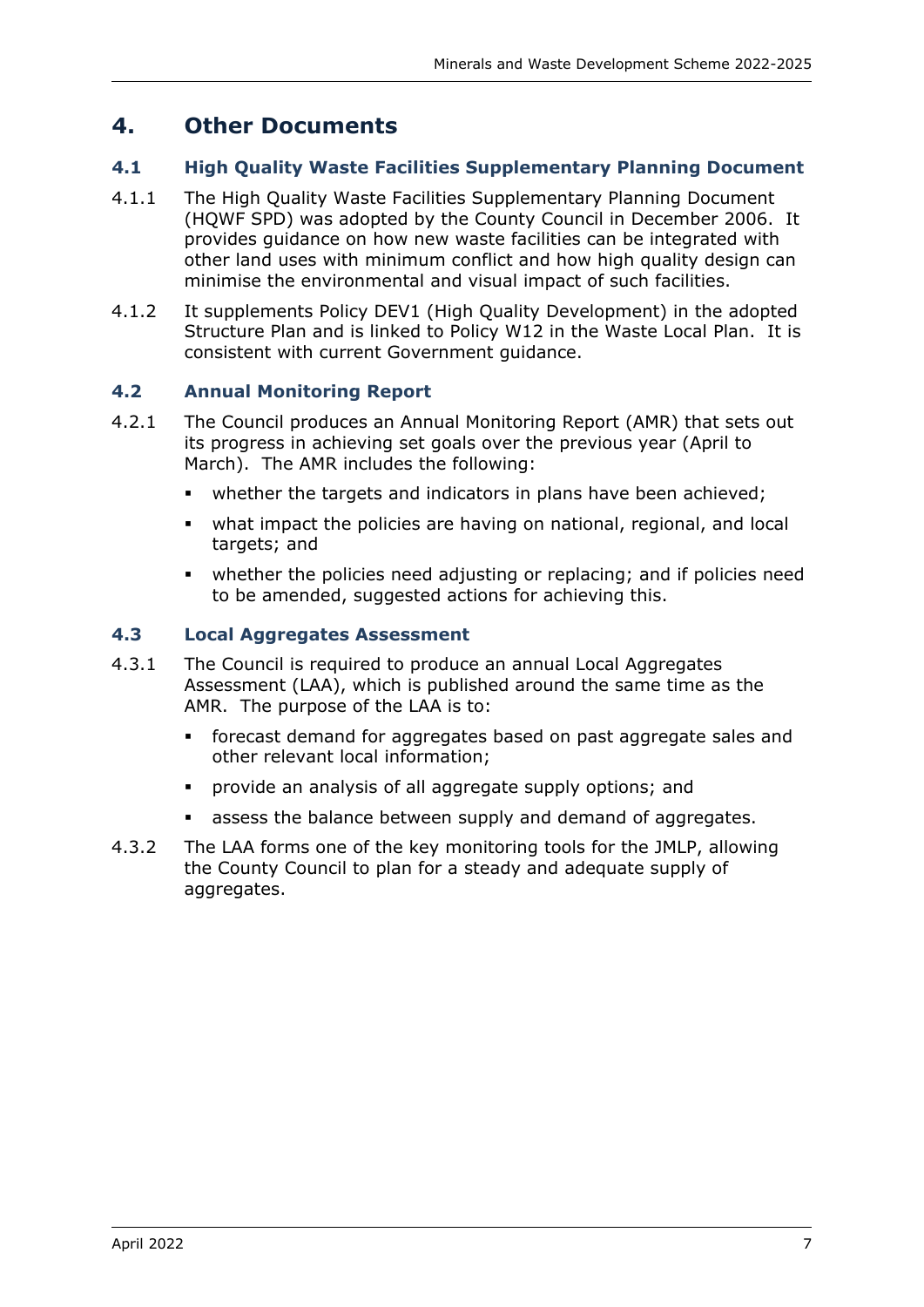# <span id="page-10-0"></span>**4. Other Documents**

### <span id="page-10-1"></span>**4.1 High Quality Waste Facilities Supplementary Planning Document**

- 4.1.1 The High Quality Waste Facilities Supplementary Planning Document (HQWF SPD) was adopted by the County Council in December 2006. It provides guidance on how new waste facilities can be integrated with other land uses with minimum conflict and how high quality design can minimise the environmental and visual impact of such facilities.
- 4.1.2 It supplements Policy DEV1 (High Quality Development) in the adopted Structure Plan and is linked to Policy W12 in the Waste Local Plan. It is consistent with current Government guidance.

### <span id="page-10-2"></span>**4.2 Annual Monitoring Report**

- 4.2.1 The Council produces an Annual Monitoring Report (AMR) that sets out its progress in achieving set goals over the previous year (April to March). The AMR includes the following:
	- whether the targets and indicators in plans have been achieved;
	- what impact the policies are having on national, regional, and local targets; and
	- whether the policies need adjusting or replacing; and if policies need to be amended, suggested actions for achieving this.

#### <span id="page-10-3"></span>**4.3 Local Aggregates Assessment**

- 4.3.1 The Council is required to produce an annual Local Aggregates Assessment (LAA), which is published around the same time as the AMR. The purpose of the LAA is to:
	- forecast demand for aggregates based on past aggregate sales and other relevant local information;
	- provide an analysis of all aggregate supply options; and
	- assess the balance between supply and demand of aggregates.
- 4.3.2 The LAA forms one of the key monitoring tools for the JMLP, allowing the County Council to plan for a steady and adequate supply of aggregates.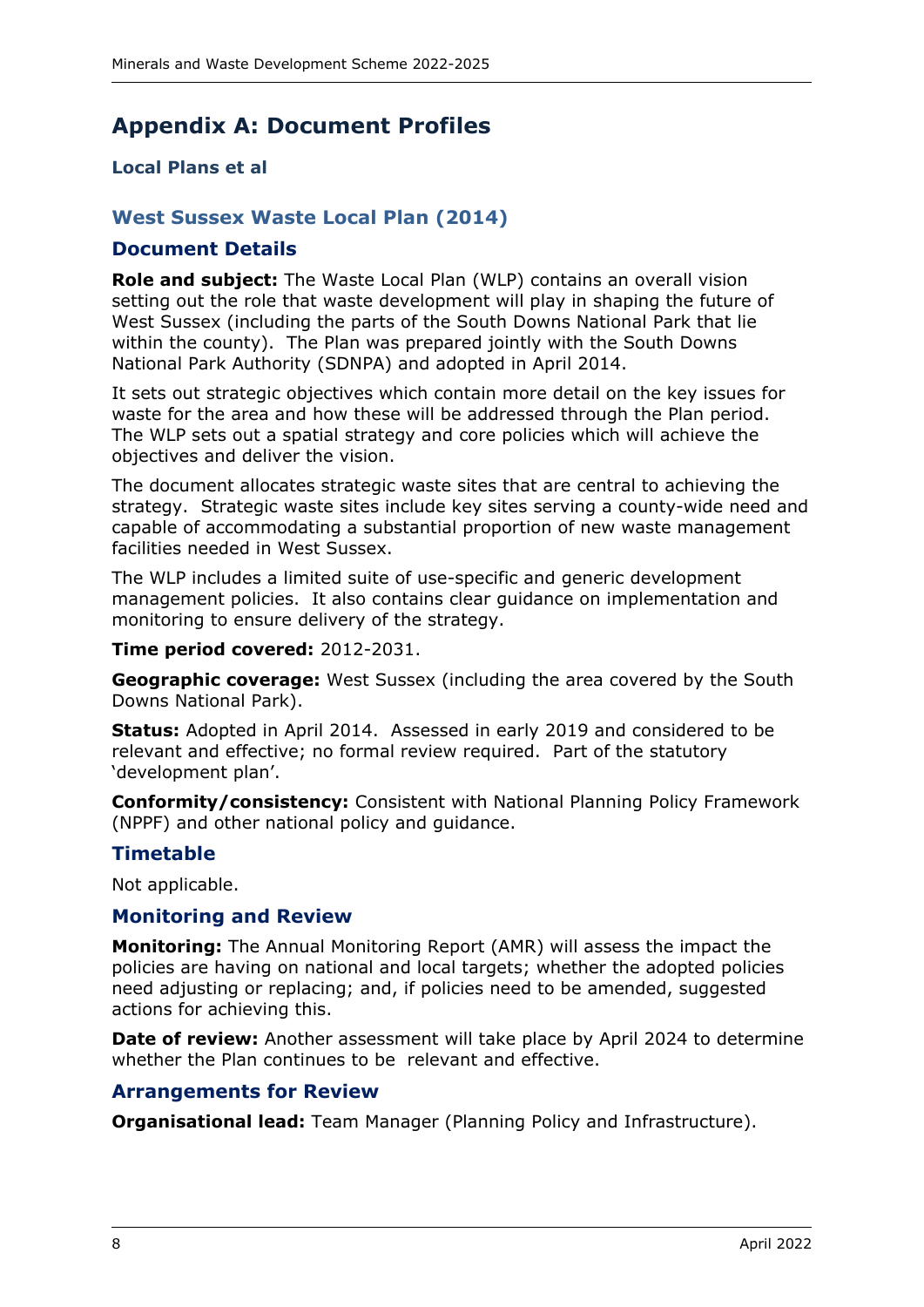# <span id="page-11-0"></span>**Appendix A: Document Profiles**

# <span id="page-11-1"></span>**Local Plans et al**

# <span id="page-11-2"></span>**West Sussex Waste Local Plan (2014)**

#### **Document Details**

**Role and subject:** The Waste Local Plan (WLP) contains an overall vision setting out the role that waste development will play in shaping the future of West Sussex (including the parts of the South Downs National Park that lie within the county). The Plan was prepared jointly with the South Downs National Park Authority (SDNPA) and adopted in April 2014.

It sets out strategic objectives which contain more detail on the key issues for waste for the area and how these will be addressed through the Plan period. The WLP sets out a spatial strategy and core policies which will achieve the objectives and deliver the vision.

The document allocates strategic waste sites that are central to achieving the strategy. Strategic waste sites include key sites serving a county-wide need and capable of accommodating a substantial proportion of new waste management facilities needed in West Sussex.

The WLP includes a limited suite of use-specific and generic development management policies. It also contains clear guidance on implementation and monitoring to ensure delivery of the strategy.

#### **Time period covered:** 2012-2031.

**Geographic coverage:** West Sussex (including the area covered by the South Downs National Park).

**Status:** Adopted in April 2014. Assessed in early 2019 and considered to be relevant and effective; no formal review required. Part of the statutory 'development plan'.

**Conformity/consistency:** Consistent with National Planning Policy Framework (NPPF) and other national policy and guidance.

# **Timetable**

Not applicable.

#### **Monitoring and Review**

**Monitoring:** The Annual Monitoring Report (AMR) will assess the impact the policies are having on national and local targets; whether the adopted policies need adjusting or replacing; and, if policies need to be amended, suggested actions for achieving this.

**Date of review:** Another assessment will take place by April 2024 to determine whether the Plan continues to be relevant and effective.

#### **Arrangements for Review**

**Organisational lead:** Team Manager (Planning Policy and Infrastructure).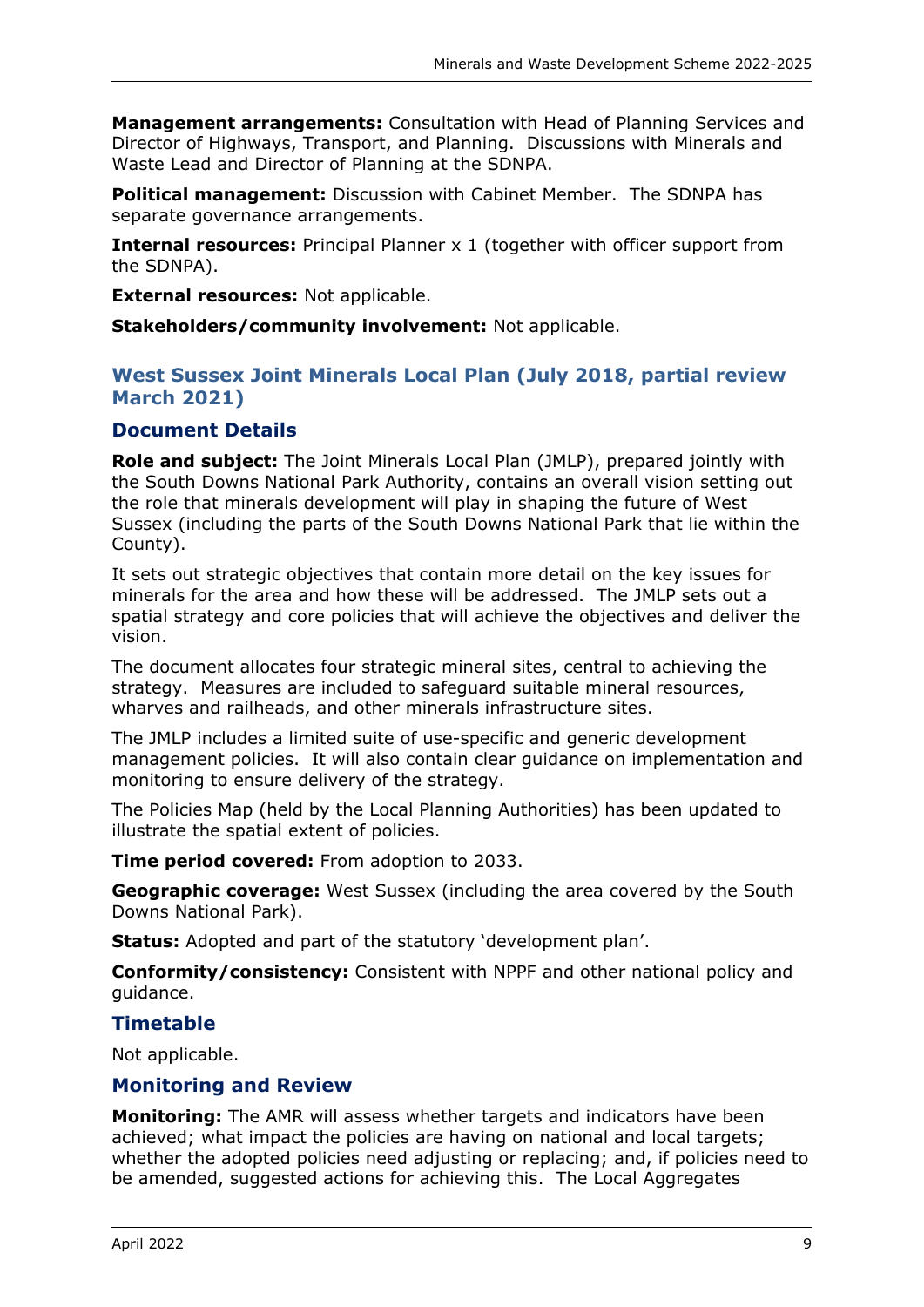**Management arrangements:** Consultation with Head of Planning Services and Director of Highways, Transport, and Planning. Discussions with Minerals and Waste Lead and Director of Planning at the SDNPA.

**Political management:** Discussion with Cabinet Member. The SDNPA has separate governance arrangements.

**Internal resources:** Principal Planner x 1 (together with officer support from the SDNPA).

**External resources:** Not applicable.

**Stakeholders/community involvement:** Not applicable.

# <span id="page-12-0"></span>**West Sussex Joint Minerals Local Plan (July 2018, partial review March 2021)**

# **Document Details**

**Role and subject:** The Joint Minerals Local Plan (JMLP), prepared jointly with the South Downs National Park Authority, contains an overall vision setting out the role that minerals development will play in shaping the future of West Sussex (including the parts of the South Downs National Park that lie within the County).

It sets out strategic objectives that contain more detail on the key issues for minerals for the area and how these will be addressed. The JMLP sets out a spatial strategy and core policies that will achieve the objectives and deliver the vision.

The document allocates four strategic mineral sites, central to achieving the strategy. Measures are included to safeguard suitable mineral resources, wharves and railheads, and other minerals infrastructure sites.

The JMLP includes a limited suite of use-specific and generic development management policies. It will also contain clear guidance on implementation and monitoring to ensure delivery of the strategy.

The Policies Map (held by the Local Planning Authorities) has been updated to illustrate the spatial extent of policies.

**Time period covered:** From adoption to 2033.

**Geographic coverage:** West Sussex (including the area covered by the South Downs National Park).

**Status:** Adopted and part of the statutory 'development plan'.

**Conformity/consistency:** Consistent with NPPF and other national policy and guidance.

# **Timetable**

Not applicable.

# **Monitoring and Review**

**Monitoring:** The AMR will assess whether targets and indicators have been achieved; what impact the policies are having on national and local targets; whether the adopted policies need adjusting or replacing; and, if policies need to be amended, suggested actions for achieving this. The Local Aggregates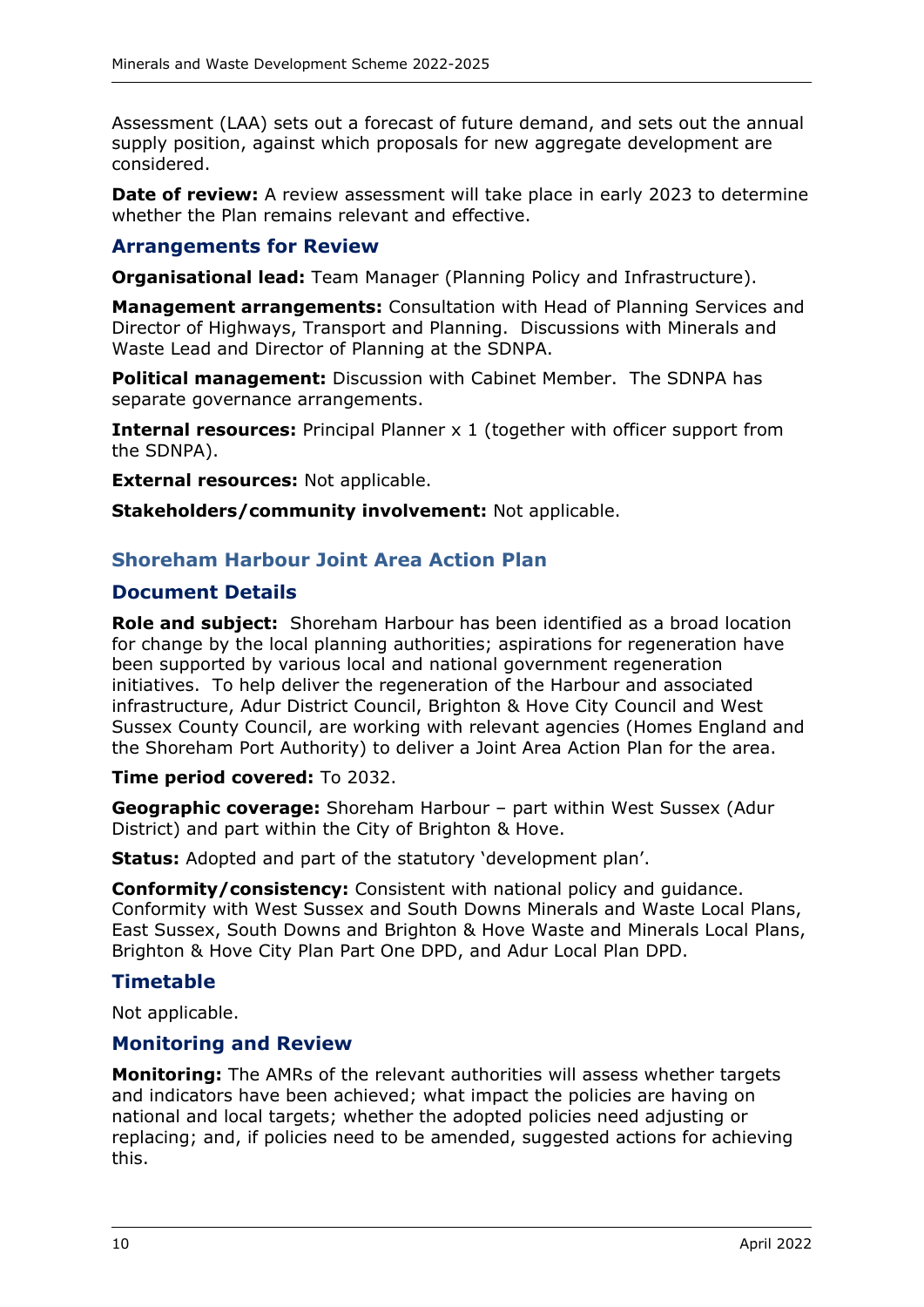Assessment (LAA) sets out a forecast of future demand, and sets out the annual supply position, against which proposals for new aggregate development are considered.

**Date of review:** A review assessment will take place in early 2023 to determine whether the Plan remains relevant and effective.

### **Arrangements for Review**

**Organisational lead:** Team Manager (Planning Policy and Infrastructure).

**Management arrangements:** Consultation with Head of Planning Services and Director of Highways, Transport and Planning. Discussions with Minerals and Waste Lead and Director of Planning at the SDNPA.

**Political management:** Discussion with Cabinet Member. The SDNPA has separate governance arrangements.

**Internal resources:** Principal Planner x 1 (together with officer support from the SDNPA).

**External resources:** Not applicable.

**Stakeholders/community involvement:** Not applicable.

### <span id="page-13-0"></span>**Shoreham Harbour Joint Area Action Plan**

#### **Document Details**

**Role and subject:** Shoreham Harbour has been identified as a broad location for change by the local planning authorities; aspirations for regeneration have been supported by various local and national government regeneration initiatives. To help deliver the regeneration of the Harbour and associated infrastructure, Adur District Council, Brighton & Hove City Council and West Sussex County Council, are working with relevant agencies (Homes England and the Shoreham Port Authority) to deliver a Joint Area Action Plan for the area.

#### **Time period covered:** To 2032.

**Geographic coverage:** Shoreham Harbour – part within West Sussex (Adur District) and part within the City of Brighton & Hove.

**Status:** Adopted and part of the statutory 'development plan'.

**Conformity/consistency:** Consistent with national policy and guidance. Conformity with West Sussex and South Downs Minerals and Waste Local Plans, East Sussex, South Downs and Brighton & Hove Waste and Minerals Local Plans, Brighton & Hove City Plan Part One DPD, and Adur Local Plan DPD.

#### **Timetable**

Not applicable.

#### **Monitoring and Review**

**Monitoring:** The AMRs of the relevant authorities will assess whether targets and indicators have been achieved; what impact the policies are having on national and local targets; whether the adopted policies need adjusting or replacing; and, if policies need to be amended, suggested actions for achieving this.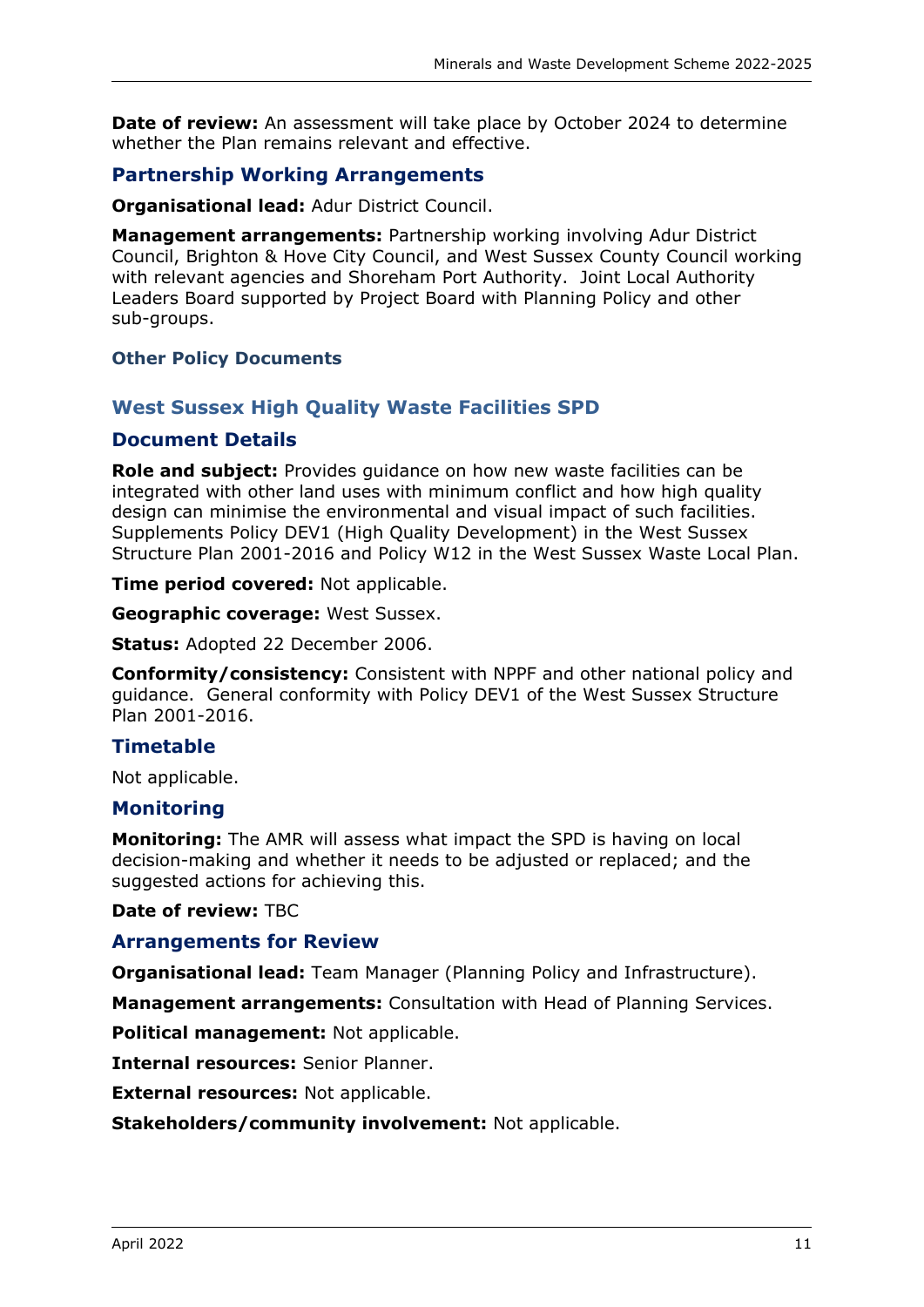**Date of review:** An assessment will take place by October 2024 to determine whether the Plan remains relevant and effective.

# **Partnership Working Arrangements**

**Organisational lead:** Adur District Council.

**Management arrangements:** Partnership working involving Adur District Council, Brighton & Hove City Council, and West Sussex County Council working with relevant agencies and Shoreham Port Authority. Joint Local Authority Leaders Board supported by Project Board with Planning Policy and other sub-groups.

#### <span id="page-14-0"></span>**Other Policy Documents**

### <span id="page-14-1"></span>**West Sussex High Quality Waste Facilities SPD**

#### **Document Details**

**Role and subject:** Provides guidance on how new waste facilities can be integrated with other land uses with minimum conflict and how high quality design can minimise the environmental and visual impact of such facilities. Supplements Policy DEV1 (High Quality Development) in the West Sussex Structure Plan 2001-2016 and Policy W12 in the West Sussex Waste Local Plan.

**Time period covered:** Not applicable.

**Geographic coverage:** West Sussex.

**Status:** Adopted 22 December 2006.

**Conformity/consistency:** Consistent with NPPF and other national policy and guidance. General conformity with Policy DEV1 of the West Sussex Structure Plan 2001-2016.

# **Timetable**

Not applicable.

#### **Monitoring**

**Monitoring:** The AMR will assess what impact the SPD is having on local decision-making and whether it needs to be adjusted or replaced; and the suggested actions for achieving this.

**Date of review:** TBC

#### **Arrangements for Review**

**Organisational lead:** Team Manager (Planning Policy and Infrastructure).

**Management arrangements:** Consultation with Head of Planning Services.

**Political management:** Not applicable.

**Internal resources:** Senior Planner.

**External resources:** Not applicable.

**Stakeholders/community involvement:** Not applicable.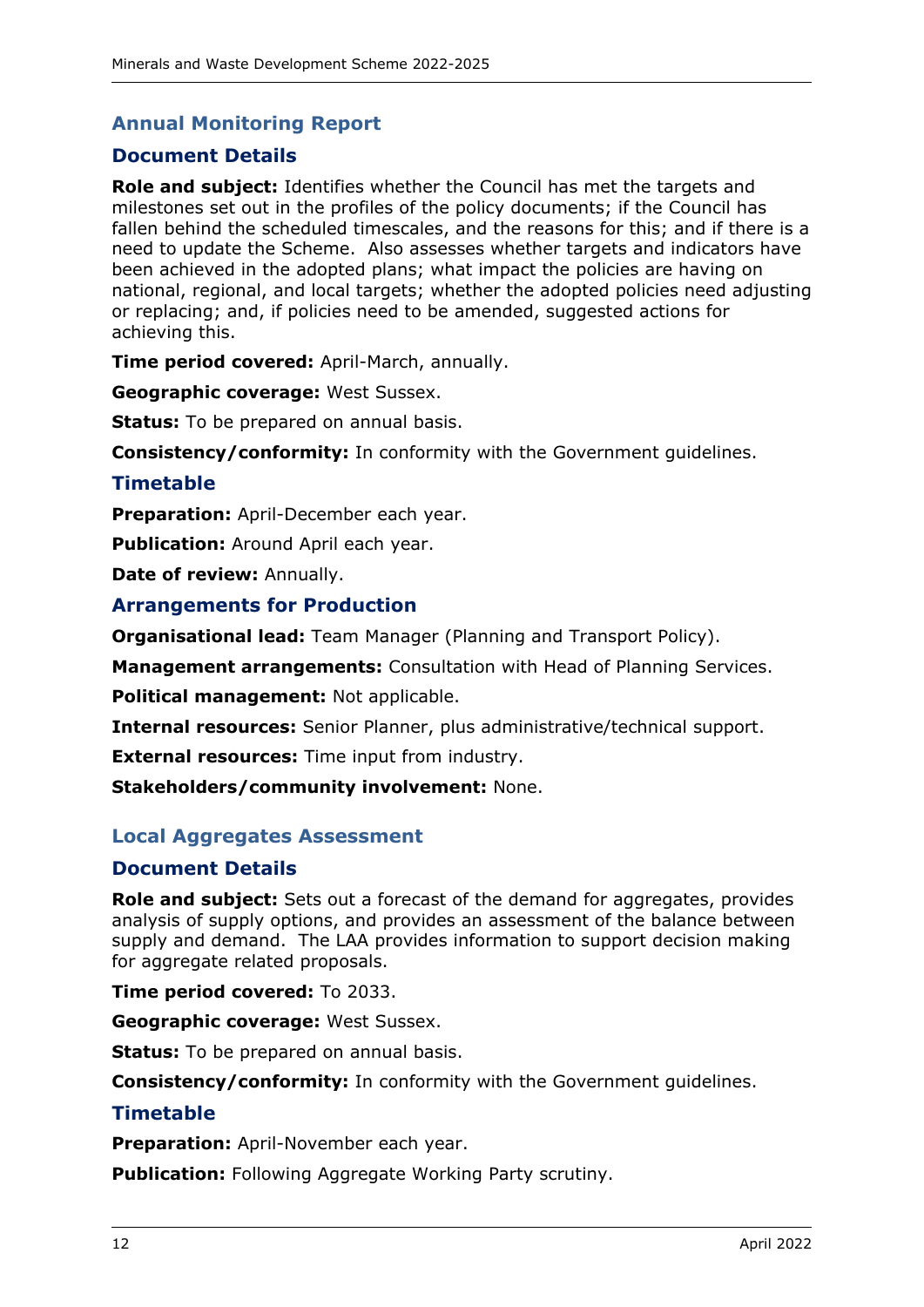# <span id="page-15-0"></span>**Annual Monitoring Report**

# **Document Details**

**Role and subject:** Identifies whether the Council has met the targets and milestones set out in the profiles of the policy documents; if the Council has fallen behind the scheduled timescales, and the reasons for this; and if there is a need to update the Scheme. Also assesses whether targets and indicators have been achieved in the adopted plans; what impact the policies are having on national, regional, and local targets; whether the adopted policies need adjusting or replacing; and, if policies need to be amended, suggested actions for achieving this.

**Time period covered:** April-March, annually.

**Geographic coverage:** West Sussex.

**Status:** To be prepared on annual basis.

**Consistency/conformity:** In conformity with the Government guidelines.

#### **Timetable**

**Preparation:** April-December each year.

**Publication:** Around April each year.

**Date of review:** Annually.

### **Arrangements for Production**

**Organisational lead:** Team Manager (Planning and Transport Policy).

**Management arrangements:** Consultation with Head of Planning Services.

**Political management:** Not applicable.

**Internal resources:** Senior Planner, plus administrative/technical support.

**External resources:** Time input from industry.

**Stakeholders/community involvement:** None.

#### <span id="page-15-1"></span>**Local Aggregates Assessment**

#### **Document Details**

**Role and subject:** Sets out a forecast of the demand for aggregates, provides analysis of supply options, and provides an assessment of the balance between supply and demand. The LAA provides information to support decision making for aggregate related proposals.

**Time period covered:** To 2033.

**Geographic coverage:** West Sussex.

**Status:** To be prepared on annual basis.

**Consistency/conformity:** In conformity with the Government guidelines.

#### **Timetable**

**Preparation:** April-November each year.

**Publication:** Following Aggregate Working Party scrutiny.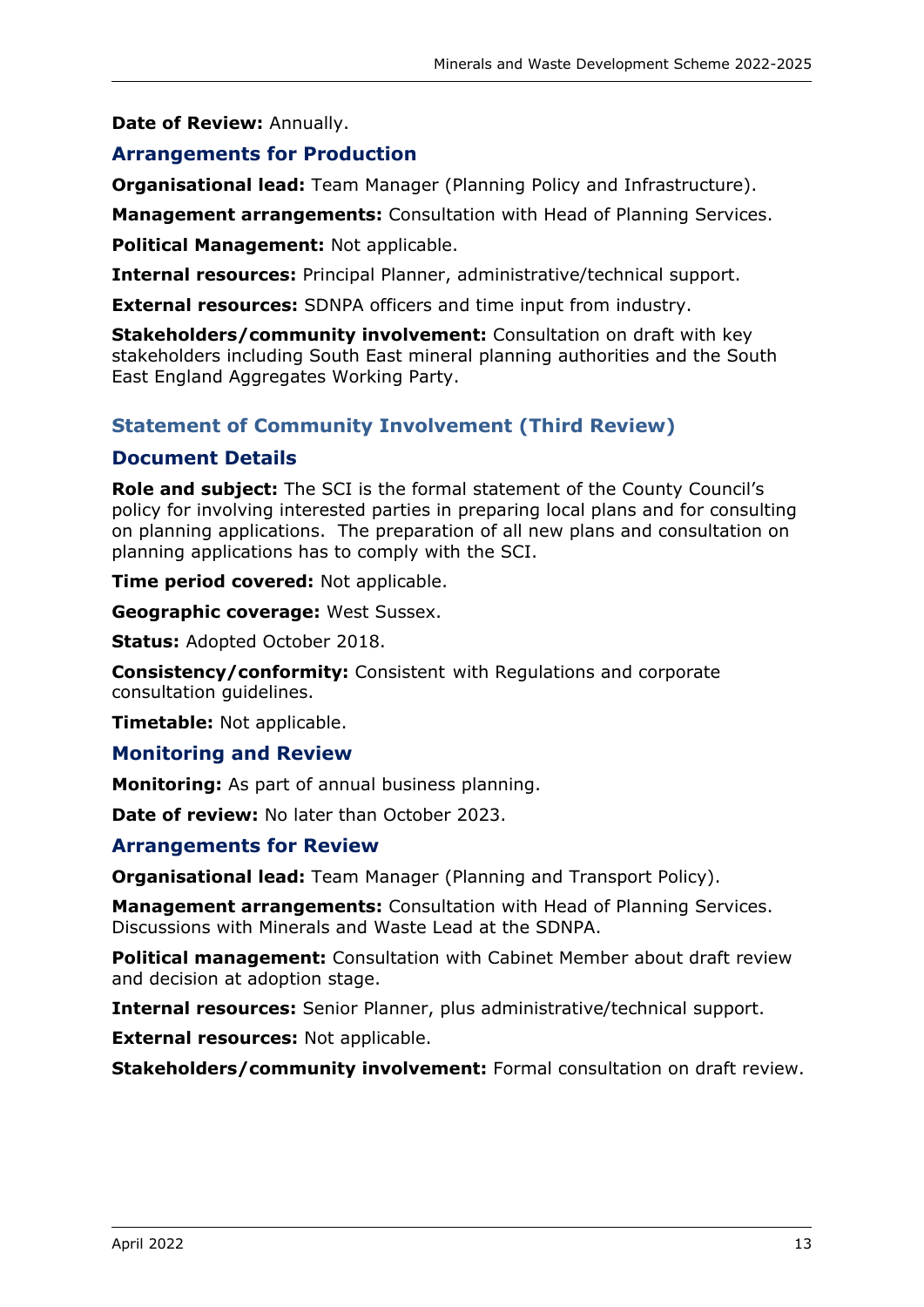### **Date of Review:** Annually.

# **Arrangements for Production**

**Organisational lead:** Team Manager (Planning Policy and Infrastructure).

**Management arrangements:** Consultation with Head of Planning Services.

**Political Management:** Not applicable.

**Internal resources:** Principal Planner, administrative/technical support.

**External resources:** SDNPA officers and time input from industry.

**Stakeholders/community involvement:** Consultation on draft with key stakeholders including South East mineral planning authorities and the South East England Aggregates Working Party.

# <span id="page-16-0"></span>**Statement of Community Involvement (Third Review)**

# **Document Details**

**Role and subject:** The SCI is the formal statement of the County Council's policy for involving interested parties in preparing local plans and for consulting on planning applications. The preparation of all new plans and consultation on planning applications has to comply with the SCI.

**Time period covered:** Not applicable.

**Geographic coverage:** West Sussex.

**Status:** Adopted October 2018.

**Consistency/conformity:** Consistent with Regulations and corporate consultation guidelines.

**Timetable:** Not applicable.

#### **Monitoring and Review**

**Monitoring:** As part of annual business planning.

**Date of review:** No later than October 2023.

# **Arrangements for Review**

**Organisational lead:** Team Manager (Planning and Transport Policy).

**Management arrangements:** Consultation with Head of Planning Services. Discussions with Minerals and Waste Lead at the SDNPA.

**Political management:** Consultation with Cabinet Member about draft review and decision at adoption stage.

**Internal resources:** Senior Planner, plus administrative/technical support.

**External resources:** Not applicable.

**Stakeholders/community involvement:** Formal consultation on draft review.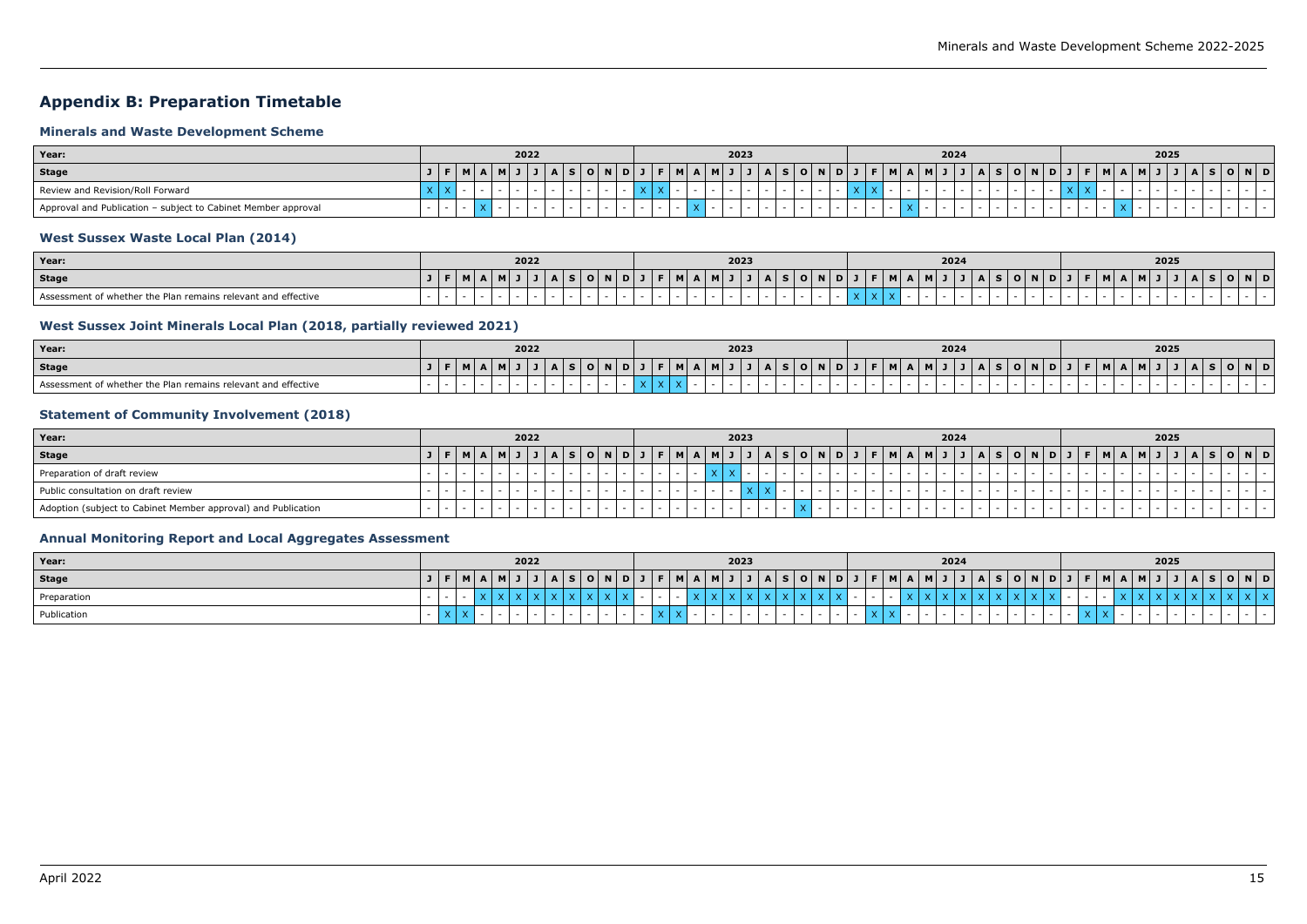# <span id="page-18-0"></span>**Appendix B: Preparation Timetable**

### <span id="page-18-1"></span>**Minerals and Waste Development Scheme**

| Year:                                                         |  |  | 2022 |  |            |  |  |                | 2023 |         |  |                                       |  |  | 2024 |                |           |                     |  |                 | 2025 |  |     |
|---------------------------------------------------------------|--|--|------|--|------------|--|--|----------------|------|---------|--|---------------------------------------|--|--|------|----------------|-----------|---------------------|--|-----------------|------|--|-----|
| Stage                                                         |  |  |      |  | <b>OND</b> |  |  | M <sub>1</sub> |      | $A$ $S$ |  | O   N   D   J   F   M   A   M   J   J |  |  |      | $\overline{A}$ | S   O   N | $A$ $D$ $J$ $F$ $M$ |  | $\Box$ A $\Box$ |      |  | OND |
| Review and Revision/Roll Forward                              |  |  |      |  |            |  |  |                |      |         |  |                                       |  |  |      |                |           |                     |  |                 |      |  |     |
| Approval and Publication - subject to Cabinet Member approval |  |  |      |  |            |  |  |                |      |         |  |                                       |  |  |      |                |           |                     |  |                 |      |  |     |

# <span id="page-18-2"></span>**West Sussex Waste Local Plan (2014)**

| Year:                                                         |  |  | 2022 |  |                  |      |  |   |   | 2023 |  |               |  |             |                | 2024 |   |     |           |     |          |  | 2025 |  |     |  |
|---------------------------------------------------------------|--|--|------|--|------------------|------|--|---|---|------|--|---------------|--|-------------|----------------|------|---|-----|-----------|-----|----------|--|------|--|-----|--|
| <b>Stage</b>                                                  |  |  |      |  | $\cdot$ O $\vee$ | INID |  | . | ш |      |  | S   O   N   D |  | $ M $ $A$ . | . . <b>. .</b> |      | A | - 3 | / 0 N D J | EMI | <b>P</b> |  |      |  | OND |  |
| Assessment of whether the Plan remains relevant and effective |  |  |      |  |                  |      |  |   |   |      |  |               |  |             |                |      |   |     |           |     |          |  |      |  |     |  |

# <span id="page-18-3"></span>**West Sussex Joint Minerals Local Plan (2018, partially reviewed 2021)**

| Year:                                                         |  |                |  | 2022 |  |  |  |  |             |  |             | 2023 |  |  |  |                                           |  |  | 2024 |                                       |  |  |  |  |  | 2025 |  |  |     |  |
|---------------------------------------------------------------|--|----------------|--|------|--|--|--|--|-------------|--|-------------|------|--|--|--|-------------------------------------------|--|--|------|---------------------------------------|--|--|--|--|--|------|--|--|-----|--|
| <b>Stage</b>                                                  |  | $\blacksquare$ |  |      |  |  |  |  | <b>FIMI</b> |  | <b>BALL</b> |      |  |  |  | A   S   O   N   D   J   F   M   A   M   J |  |  |      | A   S   O   N   D   J   F   M   A   M |  |  |  |  |  |      |  |  | N D |  |
| Assessment of whether the Plan remains relevant and effective |  |                |  |      |  |  |  |  |             |  |             |      |  |  |  |                                           |  |  |      |                                       |  |  |  |  |  |      |  |  |     |  |

#### <span id="page-18-4"></span>**Statement of Community Involvement (2018)**

| Year:                                                         |   |         |  | 2022 |        |       |  |           |                | 2023 |  |                   |  |  |    | 2024 |  |                        |  |                     |  | 2025 |  |         |  |
|---------------------------------------------------------------|---|---------|--|------|--------|-------|--|-----------|----------------|------|--|-------------------|--|--|----|------|--|------------------------|--|---------------------|--|------|--|---------|--|
| <b>Stage</b>                                                  |   | $ M $ A |  |      | /I S / | O   N |  | <b>MA</b> | M <sub>1</sub> |      |  | A S O N D J F M A |  |  | MJ |      |  | A   S   O   N   D    . |  | $J$   F   M   A   M |  |      |  | S O N D |  |
| Preparation of draft review                                   |   |         |  |      |        |       |  |           |                |      |  |                   |  |  |    |      |  |                        |  |                     |  |      |  |         |  |
| Public consultation on draft review                           |   |         |  |      |        |       |  |           |                |      |  |                   |  |  |    |      |  |                        |  |                     |  |      |  |         |  |
| Adoption (subject to Cabinet Member approval) and Publication | . |         |  |      |        |       |  |           |                |      |  |                   |  |  |    |      |  |                        |  |                     |  |      |  |         |  |

# <span id="page-18-5"></span>**Annual Monitoring Report and Local Aggregates Assessment**

| Year:        |  |                             |  | 2022 |  |  |  |  |                                             | 2023 |  |                                                   |  |  | 2024 |  |                                               |  |  | 2025    |                          |       |  |
|--------------|--|-----------------------------|--|------|--|--|--|--|---------------------------------------------|------|--|---------------------------------------------------|--|--|------|--|-----------------------------------------------|--|--|---------|--------------------------|-------|--|
| <b>Stage</b> |  | $\parallel$ M $\parallel$ A |  |      |  |  |  |  | $A   S   O   N   D   J   F   M   A   M   J$ |      |  | J   A   S   O   N   D   J   F   M   A   M   J   . |  |  |      |  | J   A   S   O   N   D   J   F   M   A   M   J |  |  | - 7 - 1 | $\overline{\phantom{a}}$ | O N D |  |
| Preparation  |  |                             |  |      |  |  |  |  |                                             |      |  |                                                   |  |  |      |  |                                               |  |  |         |                          |       |  |
| Publication  |  |                             |  |      |  |  |  |  |                                             |      |  |                                                   |  |  |      |  |                                               |  |  |         |                          |       |  |